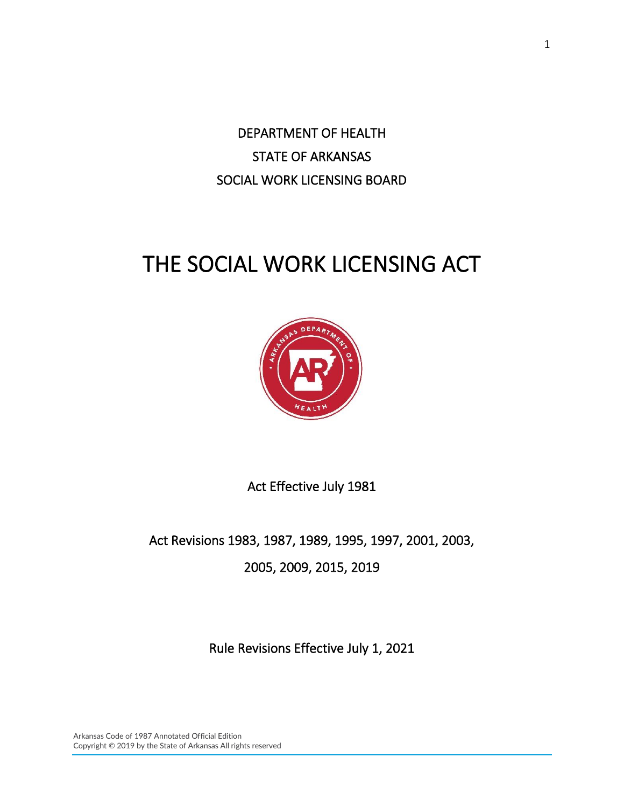DEPARTMENT OF HEALTH STATE OF ARKANSAS SOCIAL WORK LICENSING BOARD

# THE SOCIAL WORK LICENSING ACT



Act Effective July 1981

Act Revisions 1983, 1987, 1989, 1995, 1997, 2001, 2003, 2005, 2009, 2015, 2019

Rule Revisions Effective July 1, 2021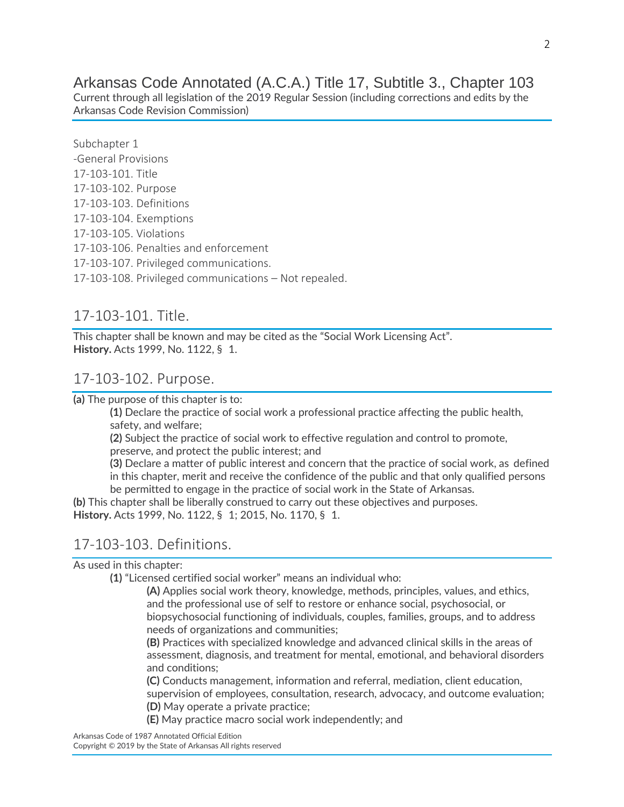Arkansas Code Annotated (A.C.A.) Title 17, Subtitle 3., Chapter 103

Current through all legislation of the 2019 Regular Session (including corrections and edits by the Arkansas Code Revision Commission)

Subchapter 1 -General Provisions 17-103-101. Title 17-103-102. Purpose 17-103-103. Definitions 17-103-104. Exemptions 17-103-105. Violations 17-103-106. Penalties and enforcement 17-103-107. Privileged communications. 17-103-108. Privileged communications – Not repealed.

# 17-103-101. Title.

This chapter shall be known and may be cited as the "Social Work Licensing Act". **History.** Acts 1999, No. 1122, § 1.

#### 17-103-102. Purpose.

**(a)** The purpose of this chapter is to:

**(1)** Declare the practice of social work a professional practice affecting the public health, safety, and welfare;

**(2)** Subject the practice of social work to effective regulation and control to promote, preserve, and protect the public interest; and

**(3)** Declare a matter of public interest and concern that the practice of social work, as defined in this chapter, merit and receive the confidence of the public and that only qualified persons be permitted to engage in the practice of social work in the State of Arkansas.

**(b)** This chapter shall be liberally construed to carry out these objectives and purposes. **History.** Acts 1999, No. 1122, § 1; 2015, No. 1170, § 1.

# 17-103-103. Definitions.

As used in this chapter:

**(1)** "Licensed certified social worker" means an individual who:

**(A)** Applies social work theory, knowledge, methods, principles, values, and ethics, and the professional use of self to restore or enhance social, psychosocial, or biopsychosocial functioning of individuals, couples, families, groups, and to address needs of organizations and communities;

**(B)** Practices with specialized knowledge and advanced clinical skills in the areas of assessment, diagnosis, and treatment for mental, emotional, and behavioral disorders and conditions;

**(C)** Conducts management, information and referral, mediation, client education, supervision of employees, consultation, research, advocacy, and outcome evaluation; **(D)** May operate a private practice;

**(E)** May practice macro social work independently; and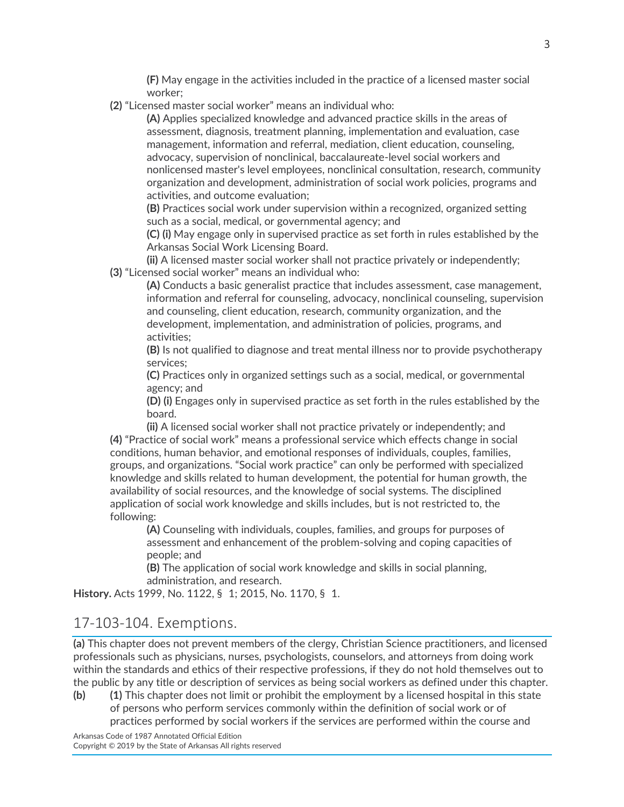**(F)** May engage in the activities included in the practice of a licensed master social worker;

**(2)** "Licensed master social worker" means an individual who:

**(A)** Applies specialized knowledge and advanced practice skills in the areas of assessment, diagnosis, treatment planning, implementation and evaluation, case management, information and referral, mediation, client education, counseling, advocacy, supervision of nonclinical, baccalaureate-level social workers and nonlicensed master's level employees, nonclinical consultation, research, community organization and development, administration of social work policies, programs and activities, and outcome evaluation;

**(B)** Practices social work under supervision within a recognized, organized setting such as a social, medical, or governmental agency; and

**(C) (i)** May engage only in supervised practice as set forth in rules established by the Arkansas Social Work Licensing Board.

**(ii)** A licensed master social worker shall not practice privately or independently; **(3)** "Licensed social worker" means an individual who:

**(A)** Conducts a basic generalist practice that includes assessment, case management, information and referral for counseling, advocacy, nonclinical counseling, supervision and counseling, client education, research, community organization, and the development, implementation, and administration of policies, programs, and activities;

**(B)** Is not qualified to diagnose and treat mental illness nor to provide psychotherapy services;

**(C)** Practices only in organized settings such as a social, medical, or governmental agency; and

**(D) (i)** Engages only in supervised practice as set forth in the rules established by the board.

**(ii)** A licensed social worker shall not practice privately or independently; and **(4)** "Practice of social work" means a professional service which effects change in social conditions, human behavior, and emotional responses of individuals, couples, families, groups, and organizations. "Social work practice" can only be performed with specialized knowledge and skills related to human development, the potential for human growth, the availability of social resources, and the knowledge of social systems. The disciplined application of social work knowledge and skills includes, but is not restricted to, the following:

**(A)** Counseling with individuals, couples, families, and groups for purposes of assessment and enhancement of the problem-solving and coping capacities of people; and

**(B)** The application of social work knowledge and skills in social planning, administration, and research.

**History.** Acts 1999, No. 1122, § 1; 2015, No. 1170, § 1.

# 17-103-104. Exemptions.

**(a)** This chapter does not prevent members of the clergy, Christian Science practitioners, and licensed professionals such as physicians, nurses, psychologists, counselors, and attorneys from doing work within the standards and ethics of their respective professions, if they do not hold themselves out to the public by any title or description of services as being social workers as defined under this chapter.

**(b) (1)** This chapter does not limit or prohibit the employment by a licensed hospital in this state of persons who perform services commonly within the definition of social work or of practices performed by social workers if the services are performed within the course and

Arkansas Code of 1987 Annotated Official Edition Copyright © 2019 by the State of Arkansas All rights reserved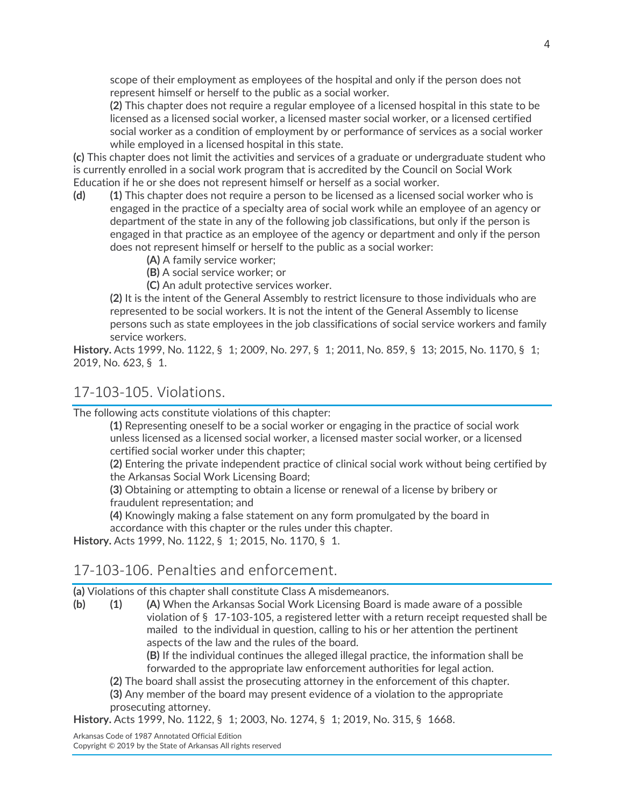scope of their employment as employees of the hospital and only if the person does not represent himself or herself to the public as a social worker.

**(2)** This chapter does not require a regular employee of a licensed hospital in this state to be licensed as a licensed social worker, a licensed master social worker, or a licensed certified social worker as a condition of employment by or performance of services as a social worker while employed in a licensed hospital in this state.

**(c)** This chapter does not limit the activities and services of a graduate or undergraduate student who is currently enrolled in a social work program that is accredited by the Council on Social Work Education if he or she does not represent himself or herself as a social worker.

- **(d) (1)** This chapter does not require a person to be licensed as a licensed social worker who is engaged in the practice of a specialty area of social work while an employee of an agency or department of the state in any of the following job classifications, but only if the person is engaged in that practice as an employee of the agency or department and only if the person does not represent himself or herself to the public as a social worker:
	- **(A)** A family service worker;
	- **(B)** A social service worker; or
	- **(C)** An adult protective services worker.

**(2)** It is the intent of the General Assembly to restrict licensure to those individuals who are represented to be social workers. It is not the intent of the General Assembly to license persons such as state employees in the job classifications of social service workers and family service workers.

**History.** Acts 1999, No. 1122, § 1; 2009, No. 297, § 1; 2011, No. 859, § 13; 2015, No. 1170, § 1; 2019, No. 623, § 1.

#### 17-103-105. Violations.

The following acts constitute violations of this chapter:

**(1)** Representing oneself to be a social worker or engaging in the practice of social work unless licensed as a licensed social worker, a licensed master social worker, or a licensed certified social worker under this chapter;

**(2)** Entering the private independent practice of clinical social work without being certified by the Arkansas Social Work Licensing Board;

**(3)** Obtaining or attempting to obtain a license or renewal of a license by bribery or fraudulent representation; and

**(4)** Knowingly making a false statement on any form promulgated by the board in accordance with this chapter or the rules under this chapter.

**History.** Acts 1999, No. 1122, § 1; 2015, No. 1170, § 1.

#### 17-103-106. Penalties and enforcement.

**(a)** Violations of this chapter shall constitute Class A misdemeanors.

**(b) (1) (A)** When the Arkansas Social Work Licensing Board is made aware of a possible violation of § 17-103-105, a registered letter with a return receipt requested shall be mailed to the individual in question, calling to his or her attention the pertinent aspects of the law and the rules of the board.

**(B)** If the individual continues the alleged illegal practice, the information shall be forwarded to the appropriate law enforcement authorities for legal action.

**(2)** The board shall assist the prosecuting attorney in the enforcement of this chapter.

**(3)** Any member of the board may present evidence of a violation to the appropriate prosecuting attorney.

**History.** Acts 1999, No. 1122, § 1; 2003, No. 1274, § 1; 2019, No. 315, § 1668.

Arkansas Code of 1987 Annotated Official Edition Copyright © 2019 by the State of Arkansas All rights reserved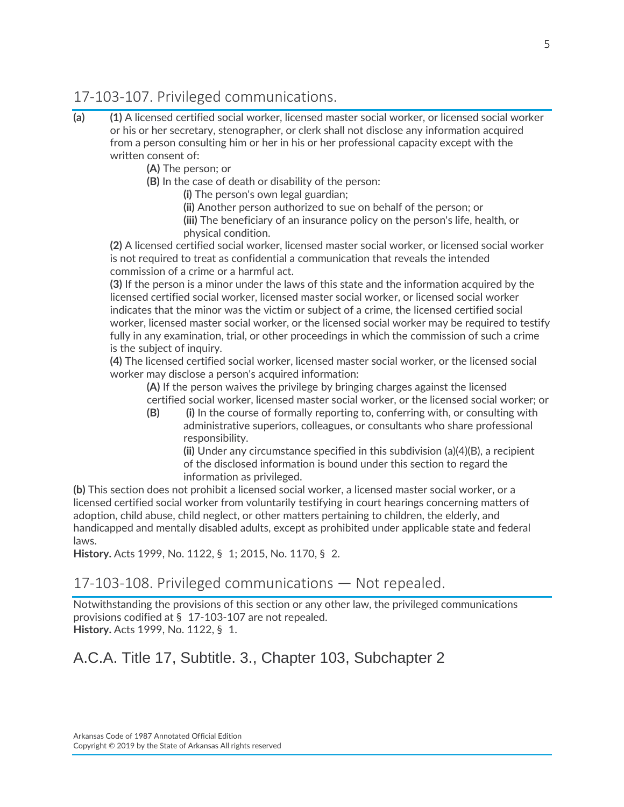# 17-103-107. Privileged communications.

- **(a) (1)** A licensed certified social worker, licensed master social worker, or licensed social worker or his or her secretary, stenographer, or clerk shall not disclose any information acquired from a person consulting him or her in his or her professional capacity except with the written consent of:
	- **(A)** The person; or
	- **(B)** In the case of death or disability of the person:
		- **(i)** The person's own legal guardian;

**(ii)** Another person authorized to sue on behalf of the person; or **(iii)** The beneficiary of an insurance policy on the person's life, health, or physical condition.

**(2)** A licensed certified social worker, licensed master social worker, or licensed social worker is not required to treat as confidential a communication that reveals the intended commission of a crime or a harmful act.

**(3)** If the person is a minor under the laws of this state and the information acquired by the licensed certified social worker, licensed master social worker, or licensed social worker indicates that the minor was the victim or subject of a crime, the licensed certified social worker, licensed master social worker, or the licensed social worker may be required to testify fully in any examination, trial, or other proceedings in which the commission of such a crime is the subject of inquiry.

**(4)** The licensed certified social worker, licensed master social worker, or the licensed social worker may disclose a person's acquired information:

**(A)** If the person waives the privilege by bringing charges against the licensed certified social worker, licensed master social worker, or the licensed social worker; or

**(B) (i)** In the course of formally reporting to, conferring with, or consulting with administrative superiors, colleagues, or consultants who share professional responsibility.

**(ii)** Under any circumstance specified in this subdivision (a)(4)(B), a recipient of the disclosed information is bound under this section to regard the information as privileged.

**(b)** This section does not prohibit a licensed social worker, a licensed master social worker, or a licensed certified social worker from voluntarily testifying in court hearings concerning matters of adoption, child abuse, child neglect, or other matters pertaining to children, the elderly, and handicapped and mentally disabled adults, except as prohibited under applicable state and federal laws.

**History.** Acts 1999, No. 1122, § 1; 2015, No. 1170, § 2.

# 17-103-108. Privileged communications — Not repealed.

Notwithstanding the provisions of this section or any other law, the privileged communications provisions codified at § 17-103-107 are not repealed. **History.** Acts 1999, No. 1122, § 1.

A.C.A. Title 17, Subtitle. 3., Chapter 103, Subchapter 2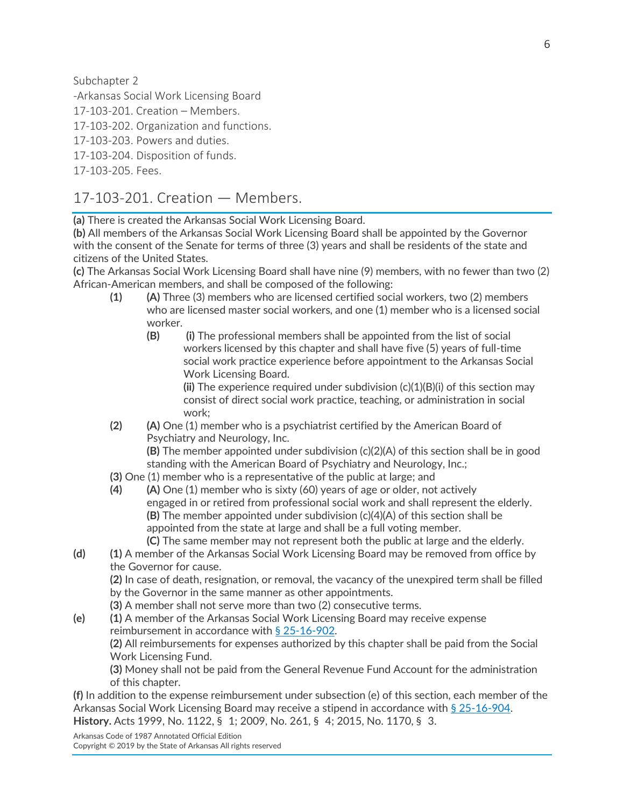Subchapter 2

-Arkansas Social Work Licensing Board

17-103-201. Creation – Members.

17-103-202. Organization and functions.

17-103-203. Powers and duties.

17-103-204. Disposition of funds.

17-103-205. Fees.

# 17-103-201. Creation — Members.

**(a)** There is created the Arkansas Social Work Licensing Board.

**(b)** All members of the Arkansas Social Work Licensing Board shall be appointed by the Governor with the consent of the Senate for terms of three (3) years and shall be residents of the state and citizens of the United States.

**(c)** The Arkansas Social Work Licensing Board shall have nine (9) members, with no fewer than two (2) African-American members, and shall be composed of the following:

- **(1) (A)** Three (3) members who are licensed certified social workers, two (2) members who are licensed master social workers, and one (1) member who is a licensed social worker.
	- **(B) (i)** The professional members shall be appointed from the list of social workers licensed by this chapter and shall have five (5) years of full-time social work practice experience before appointment to the Arkansas Social Work Licensing Board.

**(ii)** The experience required under subdivision (c)(1)(B)(i) of this section may consist of direct social work practice, teaching, or administration in social work;

**(2) (A)** One (1) member who is a psychiatrist certified by the American Board of Psychiatry and Neurology, Inc.

**(B)** The member appointed under subdivision (c)(2)(A) of this section shall be in good standing with the American Board of Psychiatry and Neurology, Inc.;

- **(3)** One (1) member who is a representative of the public at large; and
- **(4) (A)** One (1) member who is sixty (60) years of age or older, not actively engaged in or retired from professional social work and shall represent the elderly. **(B)** The member appointed under subdivision (c)(4)(A) of this section shall be appointed from the state at large and shall be a full voting member.

**(C)** The same member may not represent both the public at large and the elderly.

**(d) (1)** A member of the Arkansas Social Work Licensing Board may be removed from office by the Governor for cause.

**(2)** In case of death, resignation, or removal, the vacancy of the unexpired term shall be filled by the Governor in the same manner as other appointments.

- **(3)** A member shall not serve more than two (2) consecutive terms.
- **(e) (1)** A member of the Arkansas Social Work Licensing Board may receive expense reimbursement in accordance with [§ 25-16-902.](https://advance.lexis.com/document/documentslider/?pdmfid=1000516&crid=62675a52-3321-43e3-b99d-47360ca09204&pdistocdocslideraccess=true&config=&pddocfullpath=%2Fshared%2Fdocument%2Fstatutes-legislation%2Furn%3AcontentItem%3A4WVF-T230-R03N-M405-00008-00&pdcomponentid=234171&pdtocnodeidentifier=AARAADAAZAADAAC&ecomp=1s39k&prid=fba34b56-500c-4cb4-93b9-f4ce8a6d28cf) **(2)** All reimbursements for expenses authorized by this chapter shall be paid from the Social Work Licensing Fund.

**(3)** Money shall not be paid from the General Revenue Fund Account for the administration of this chapter.

**(f)** In addition to the expense reimbursement under subsection (e) of this section, each member of the Arkansas Social Work Licensing Board may receive a stipend in accordance with [§ 25-16-904.](https://advance.lexis.com/document/documentslider/?pdmfid=1000516&crid=62675a52-3321-43e3-b99d-47360ca09204&pdistocdocslideraccess=true&config=&pddocfullpath=%2Fshared%2Fdocument%2Fstatutes-legislation%2Furn%3AcontentItem%3A4WVF-T230-R03N-M405-00008-00&pdcomponentid=234171&pdtocnodeidentifier=AARAADAAZAADAAC&ecomp=1s39k&prid=fba34b56-500c-4cb4-93b9-f4ce8a6d28cf) **History.** Acts 1999, No. 1122, § 1; 2009, No. 261, § 4; 2015, No. 1170, § 3.

Arkansas Code of 1987 Annotated Official Edition Copyright © 2019 by the State of Arkansas All rights reserved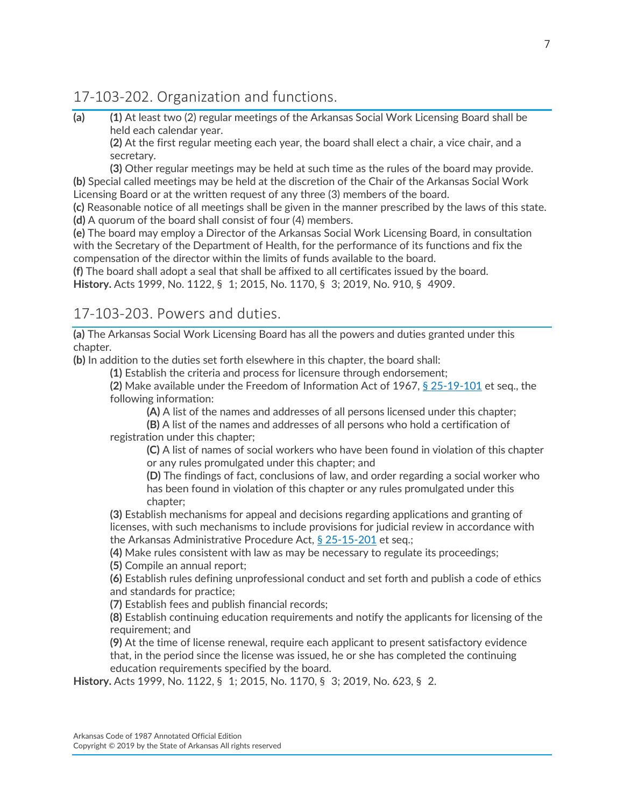# 17-103-202. Organization and functions.

**(a) (1)** At least two (2) regular meetings of the Arkansas Social Work Licensing Board shall be held each calendar year.

**(2)** At the first regular meeting each year, the board shall elect a chair, a vice chair, and a secretary.

**(3)** Other regular meetings may be held at such time as the rules of the board may provide. **(b)** Special called meetings may be held at the discretion of the Chair of the Arkansas Social Work Licensing Board or at the written request of any three (3) members of the board.

**(c)** Reasonable notice of all meetings shall be given in the manner prescribed by the laws of this state. **(d)** A quorum of the board shall consist of four (4) members.

**(e)** The board may employ a Director of the Arkansas Social Work Licensing Board, in consultation with the Secretary of the Department of Health, for the performance of its functions and fix the compensation of the director within the limits of funds available to the board.

**(f)** The board shall adopt a seal that shall be affixed to all certificates issued by the board. **History.** Acts 1999, No. 1122, § 1; 2015, No. 1170, § 3; 2019, No. 910, § 4909.

#### 17-103-203. Powers and duties.

**(a)** The Arkansas Social Work Licensing Board has all the powers and duties granted under this chapter.

**(b)** In addition to the duties set forth elsewhere in this chapter, the board shall:

**(1)** Establish the criteria and process for licensure through endorsement;

**(2)** Make available under the Freedom of Information Act of 1967, [§ 25-19-101](https://advance.lexis.com/document/documentslider/?pdmfid=1000516&crid=61aaf6cd-71de-45b8-98ee-4e54b31ff246&pdistocdocslideraccess=true&config=&pddocfullpath=%2Fshared%2Fdocument%2Fstatutes-legislation%2Furn%3AcontentItem%3A5VW1-74D0-R03J-V4NB-00008-00&pdcomponentid=234171&pdtocnodeidentifier=AARAADAAZAADAAE&ecomp=1s39k&prid=cc801f5c-cbea-41f5-95eb-a4647a583b72) et seq., the following information:

**(A)** A list of the names and addresses of all persons licensed under this chapter;

**(B)** A list of the names and addresses of all persons who hold a certification of registration under this chapter;

**(C)** A list of names of social workers who have been found in violation of this chapter or any rules promulgated under this chapter; and

**(D)** The findings of fact, conclusions of law, and order regarding a social worker who has been found in violation of this chapter or any rules promulgated under this chapter;

**(3)** Establish mechanisms for appeal and decisions regarding applications and granting of licenses, with such mechanisms to include provisions for judicial review in accordance with the Arkansas Administrative Procedure Act, [§ 25-15-201](https://advance.lexis.com/document/documentslider/?pdmfid=1000516&crid=61aaf6cd-71de-45b8-98ee-4e54b31ff246&pdistocdocslideraccess=true&config=&pddocfullpath=%2Fshared%2Fdocument%2Fstatutes-legislation%2Furn%3AcontentItem%3A5VW1-74D0-R03J-V4NB-00008-00&pdcomponentid=234171&pdtocnodeidentifier=AARAADAAZAADAAE&ecomp=1s39k&prid=cc801f5c-cbea-41f5-95eb-a4647a583b72) et seq.;

**(4)** Make rules consistent with law as may be necessary to regulate its proceedings;

**(5)** Compile an annual report;

**(6)** Establish rules defining unprofessional conduct and set forth and publish a code of ethics and standards for practice;

**(7)** Establish fees and publish financial records;

**(8)** Establish continuing education requirements and notify the applicants for licensing of the requirement; and

**(9)** At the time of license renewal, require each applicant to present satisfactory evidence that, in the period since the license was issued, he or she has completed the continuing education requirements specified by the board.

**History.** Acts 1999, No. 1122, § 1; 2015, No. 1170, § 3; 2019, No. 623, § 2.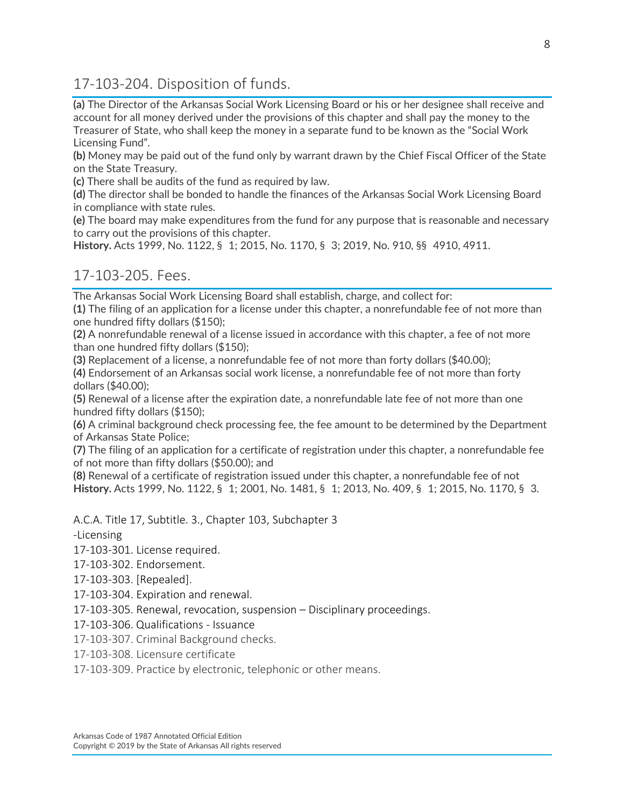17-103-204. Disposition of funds.

**(a)** The Director of the Arkansas Social Work Licensing Board or his or her designee shall receive and account for all money derived under the provisions of this chapter and shall pay the money to the Treasurer of State, who shall keep the money in a separate fund to be known as the "Social Work Licensing Fund".

**(b)** Money may be paid out of the fund only by warrant drawn by the Chief Fiscal Officer of the State on the State Treasury.

**(c)** There shall be audits of the fund as required by law.

**(d)** The director shall be bonded to handle the finances of the Arkansas Social Work Licensing Board in compliance with state rules.

**(e)** The board may make expenditures from the fund for any purpose that is reasonable and necessary to carry out the provisions of this chapter.

**History.** Acts 1999, No. 1122, § 1; 2015, No. 1170, § 3; 2019, No. 910, §§ 4910, 4911.

#### 17-103-205. Fees.

The Arkansas Social Work Licensing Board shall establish, charge, and collect for:

**(1)** The filing of an application for a license under this chapter, a nonrefundable fee of not more than one hundred fifty dollars (\$150);

**(2)** A nonrefundable renewal of a license issued in accordance with this chapter, a fee of not more than one hundred fifty dollars (\$150);

**(3)** Replacement of a license, a nonrefundable fee of not more than forty dollars (\$40.00);

**(4)** Endorsement of an Arkansas social work license, a nonrefundable fee of not more than forty dollars (\$40.00);

**(5)** Renewal of a license after the expiration date, a nonrefundable late fee of not more than one hundred fifty dollars (\$150);

**(6)** A criminal background check processing fee, the fee amount to be determined by the Department of Arkansas State Police;

**(7)** The filing of an application for a certificate of registration under this chapter, a nonrefundable fee of not more than fifty dollars (\$50.00); and

**(8)** Renewal of a certificate of registration issued under this chapter, a nonrefundable fee of not **History.** Acts 1999, No. 1122, § 1; 2001, No. 1481, § 1; 2013, No. 409, § 1; 2015, No. 1170, § 3.

A.C.A. Title 17, Subtitle. 3., Chapter 103, Subchapter 3

-Licensing

17-103-301. License required.

17-103-302. Endorsement.

17-103-303. [Repealed].

17-103-304. Expiration and renewal.

17-103-305. Renewal, revocation, suspension – Disciplinary proceedings.

17-103-306. Qualifications - Issuance

17-103-307. Criminal Background checks.

17-103-308. Licensure certificate

17-103-309. Practice by electronic, telephonic or other means.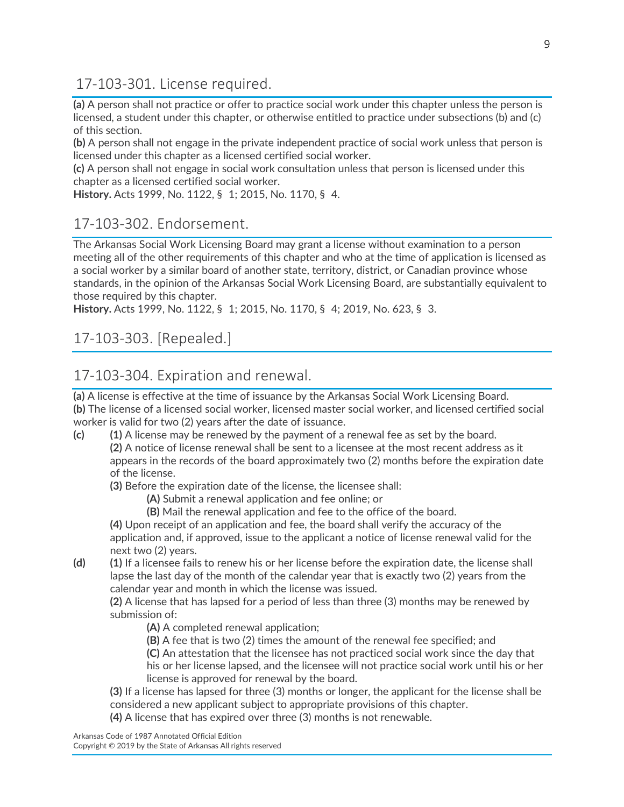17-103-301. License required.

**(a)** A person shall not practice or offer to practice social work under this chapter unless the person is licensed, a student under this chapter, or otherwise entitled to practice under subsections (b) and (c) of this section.

**(b)** A person shall not engage in the private independent practice of social work unless that person is licensed under this chapter as a licensed certified social worker.

**(c)** A person shall not engage in social work consultation unless that person is licensed under this chapter as a licensed certified social worker.

**History.** Acts 1999, No. 1122, § 1; 2015, No. 1170, § 4.

#### 17-103-302. Endorsement.

The Arkansas Social Work Licensing Board may grant a license without examination to a person meeting all of the other requirements of this chapter and who at the time of application is licensed as a social worker by a similar board of another state, territory, district, or Canadian province whose standards, in the opinion of the Arkansas Social Work Licensing Board, are substantially equivalent to those required by this chapter.

**History.** Acts 1999, No. 1122, § 1; 2015, No. 1170, § 4; 2019, No. 623, § 3.

# 17-103-303. [Repealed.]

# 17-103-304. Expiration and renewal.

**(a)** A license is effective at the time of issuance by the Arkansas Social Work Licensing Board. **(b)** The license of a licensed social worker, licensed master social worker, and licensed certified social worker is valid for two (2) years after the date of issuance.

**(c) (1)** A license may be renewed by the payment of a renewal fee as set by the board.

**(2)** A notice of license renewal shall be sent to a licensee at the most recent address as it appears in the records of the board approximately two (2) months before the expiration date of the license.

**(3)** Before the expiration date of the license, the licensee shall:

- **(A)** Submit a renewal application and fee online; or
	- **(B)** Mail the renewal application and fee to the office of the board.

**(4)** Upon receipt of an application and fee, the board shall verify the accuracy of the application and, if approved, issue to the applicant a notice of license renewal valid for the next two (2) years.

**(d) (1)** If a licensee fails to renew his or her license before the expiration date, the license shall lapse the last day of the month of the calendar year that is exactly two (2) years from the calendar year and month in which the license was issued.

**(2)** A license that has lapsed for a period of less than three (3) months may be renewed by submission of:

**(A)** A completed renewal application;

- **(B)** A fee that is two (2) times the amount of the renewal fee specified; and
- **(C)** An attestation that the licensee has not practiced social work since the day that his or her license lapsed, and the licensee will not practice social work until his or her license is approved for renewal by the board.
- **(3)** If a license has lapsed for three (3) months or longer, the applicant for the license shall be considered a new applicant subject to appropriate provisions of this chapter.
- **(4)** A license that has expired over three (3) months is not renewable.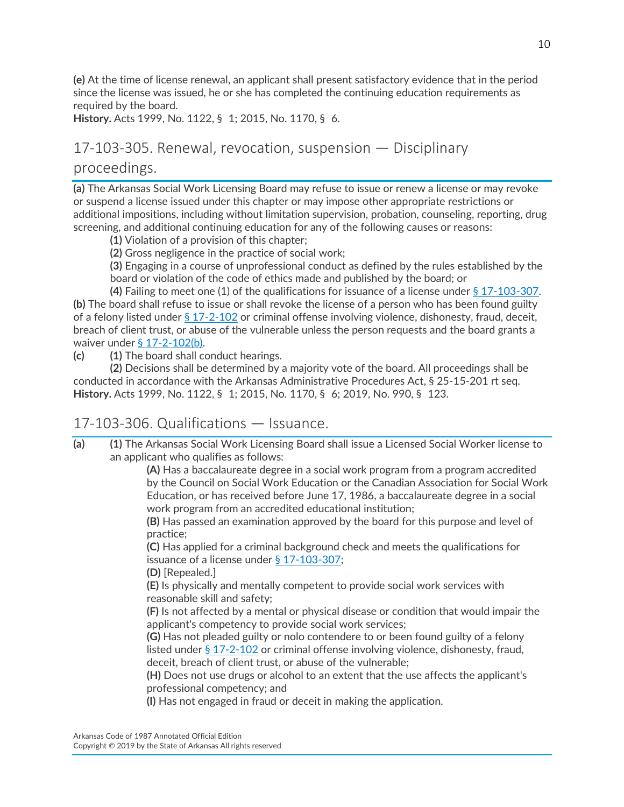**(e)** At the time of license renewal, an applicant shall present satisfactory evidence that in the period since the license was issued, he or she has completed the continuing education requirements as required by the board.

**History.** Acts 1999, No. 1122, § 1; 2015, No. 1170, § 6.

# 17-103-305. Renewal, revocation, suspension — Disciplinary proceedings.

**(a)** The Arkansas Social Work Licensing Board may refuse to issue or renew a license or may revoke or suspend a license issued under this chapter or may impose other appropriate restrictions or additional impositions, including without limitation supervision, probation, counseling, reporting, drug screening, and additional continuing education for any of the following causes or reasons:

**(1)** Violation of a provision of this chapter;

**(2)** Gross negligence in the practice of social work;

**(3)** Engaging in a course of unprofessional conduct as defined by the rules established by the board or violation of the code of ethics made and published by the board; or

**(4)** Failing to meet one (1) of the qualifications for issuance of a license under [§ 17-103-307.](https://advance.lexis.com/document/documentslider/?pdmfid=1000516&crid=ef5b9657-24b3-40ed-85bc-b4f06e175ae2&pdistocdocslideraccess=true&config=&pddocfullpath=%2Fshared%2Fdocument%2Fstatutes-legislation%2Furn%3AcontentItem%3A5W3M-NR70-R03K-V018-00008-00&pdcomponentid=234171&pdtocnodeidentifier=AARAADAAZAAEAAF&ecomp=1s39k&prid=a8b4d54e-a53e-4cf2-ad84-31979e48ca5f) **(b)** The board shall refuse to issue or shall revoke the license of a person who has been found guilty of a felony listed under [§ 17-2-102](https://advance.lexis.com/document/documentslider/?pdmfid=1000516&crid=ef5b9657-24b3-40ed-85bc-b4f06e175ae2&pdistocdocslideraccess=true&config=&pddocfullpath=%2Fshared%2Fdocument%2Fstatutes-legislation%2Furn%3AcontentItem%3A5W3M-NR70-R03K-V018-00008-00&pdcomponentid=234171&pdtocnodeidentifier=AARAADAAZAAEAAF&ecomp=1s39k&prid=a8b4d54e-a53e-4cf2-ad84-31979e48ca5f) or criminal offense involving violence, dishonesty, fraud, deceit, breach of client trust, or abuse of the vulnerable unless the person requests and the board grants a waiver under [§ 17-2-102\(b\).](https://advance.lexis.com/document/documentslider/?pdmfid=1000516&crid=ef5b9657-24b3-40ed-85bc-b4f06e175ae2&pdistocdocslideraccess=true&config=&pddocfullpath=%2Fshared%2Fdocument%2Fstatutes-legislation%2Furn%3AcontentItem%3A5W3M-NR70-R03K-V018-00008-00&pdcomponentid=234171&pdtocnodeidentifier=AARAADAAZAAEAAF&ecomp=1s39k&prid=a8b4d54e-a53e-4cf2-ad84-31979e48ca5f)

**(c) (1)** The board shall conduct hearings.

**(2)** Decisions shall be determined by a majority vote of the board. All proceedings shall be conducted in accordance with the Arkansas Administrative Procedures Act, § 25-15-201 rt seq. **History.** Acts 1999, No. 1122, § 1; 2015, No. 1170, § 6; 2019, No. 990, § 123.

#### 17-103-306. Qualifications — Issuance.

**(a) (1)** The Arkansas Social Work Licensing Board shall issue a Licensed Social Worker license to an applicant who qualifies as follows:

> **(A)** Has a baccalaureate degree in a social work program from a program accredited by the Council on Social Work Education or the Canadian Association for Social Work Education, or has received before June 17, 1986, a baccalaureate degree in a social work program from an accredited educational institution;

**(B)** Has passed an examination approved by the board for this purpose and level of practice;

**(C)** Has applied for a criminal background check and meets the qualifications for issuance of a license under [§ 17-103-307;](https://advance.lexis.com/document/documentslider/?pdmfid=1000516&crid=49333c04-c5c2-48c4-b902-8185fc3ac19f&pdistocdocslideraccess=true&config=&pddocfullpath=%2Fshared%2Fdocument%2Fstatutes-legislation%2Furn%3AcontentItem%3A5W3M-P5N0-R03K-40HN-00008-00&pdcomponentid=234171&pdtocnodeidentifier=AARAADAAZAAEAAG&ecomp=1s39k&prid=ef5b9657-24b3-40ed-85bc-b4f06e175ae2)

**(D)** [Repealed.]

**(E)** Is physically and mentally competent to provide social work services with reasonable skill and safety;

**(F)** Is not affected by a mental or physical disease or condition that would impair the applicant's competency to provide social work services;

**(G)** Has not pleaded guilty or nolo contendere to or been found guilty of a felony listed under [§ 17-2-102](https://advance.lexis.com/document/documentslider/?pdmfid=1000516&crid=49333c04-c5c2-48c4-b902-8185fc3ac19f&pdistocdocslideraccess=true&config=&pddocfullpath=%2Fshared%2Fdocument%2Fstatutes-legislation%2Furn%3AcontentItem%3A5W3M-P5N0-R03K-40HN-00008-00&pdcomponentid=234171&pdtocnodeidentifier=AARAADAAZAAEAAG&ecomp=1s39k&prid=ef5b9657-24b3-40ed-85bc-b4f06e175ae2) or criminal offense involving violence, dishonesty, fraud, deceit, breach of client trust, or abuse of the vulnerable;

**(H)** Does not use drugs or alcohol to an extent that the use affects the applicant's professional competency; and

**(I)** Has not engaged in fraud or deceit in making the application.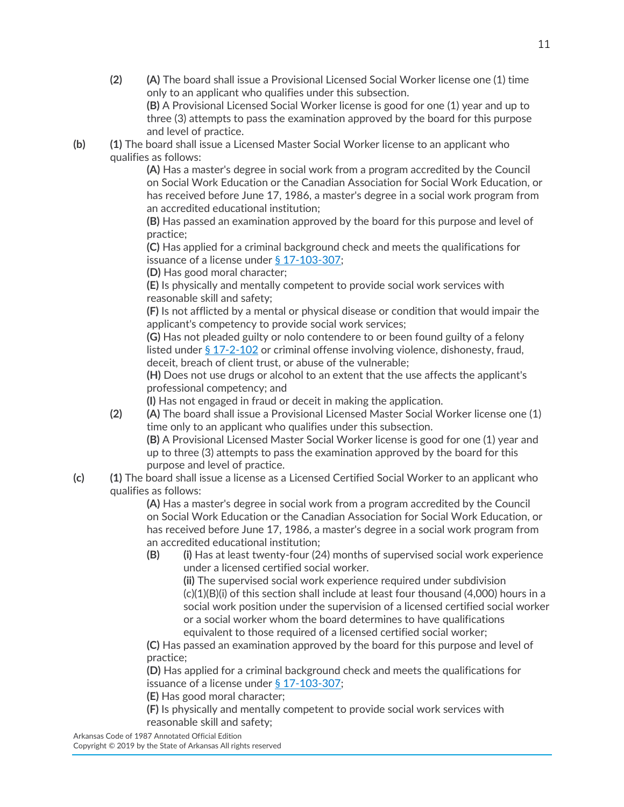- **(2) (A)** The board shall issue a Provisional Licensed Social Worker license one (1) time only to an applicant who qualifies under this subsection. **(B)** A Provisional Licensed Social Worker license is good for one (1) year and up to three (3) attempts to pass the examination approved by the board for this purpose
- and level of practice. **(b) (1)** The board shall issue a Licensed Master Social Worker license to an applicant who

qualifies as follows: **(A)** Has a master's degree in social work from a program accredited by the Council on Social Work Education or the Canadian Association for Social Work Education, or has received before June 17, 1986, a master's degree in a social work program from an accredited educational institution;

**(B)** Has passed an examination approved by the board for this purpose and level of practice;

**(C)** Has applied for a criminal background check and meets the qualifications for issuance of a license under [§ 17-103-307;](https://advance.lexis.com/document/documentslider/?pdmfid=1000516&crid=49333c04-c5c2-48c4-b902-8185fc3ac19f&pdistocdocslideraccess=true&config=&pddocfullpath=%2Fshared%2Fdocument%2Fstatutes-legislation%2Furn%3AcontentItem%3A5W3M-P5N0-R03K-40HN-00008-00&pdcomponentid=234171&pdtocnodeidentifier=AARAADAAZAAEAAG&ecomp=1s39k&prid=ef5b9657-24b3-40ed-85bc-b4f06e175ae2)

**(D)** Has good moral character;

**(E)** Is physically and mentally competent to provide social work services with reasonable skill and safety;

**(F)** Is not afflicted by a mental or physical disease or condition that would impair the applicant's competency to provide social work services;

**(G)** Has not pleaded guilty or nolo contendere to or been found guilty of a felony listed under [§ 17-2-102](https://advance.lexis.com/document/documentslider/?pdmfid=1000516&crid=49333c04-c5c2-48c4-b902-8185fc3ac19f&pdistocdocslideraccess=true&config=&pddocfullpath=%2Fshared%2Fdocument%2Fstatutes-legislation%2Furn%3AcontentItem%3A5W3M-P5N0-R03K-40HN-00008-00&pdcomponentid=234171&pdtocnodeidentifier=AARAADAAZAAEAAG&ecomp=1s39k&prid=ef5b9657-24b3-40ed-85bc-b4f06e175ae2) or criminal offense involving violence, dishonesty, fraud, deceit, breach of client trust, or abuse of the vulnerable;

**(H)** Does not use drugs or alcohol to an extent that the use affects the applicant's professional competency; and

**(I)** Has not engaged in fraud or deceit in making the application.

**(2) (A)** The board shall issue a Provisional Licensed Master Social Worker license one (1) time only to an applicant who qualifies under this subsection.

**(B)** A Provisional Licensed Master Social Worker license is good for one (1) year and up to three (3) attempts to pass the examination approved by the board for this purpose and level of practice.

**(c) (1)** The board shall issue a license as a Licensed Certified Social Worker to an applicant who qualifies as follows:

**(A)** Has a master's degree in social work from a program accredited by the Council on Social Work Education or the Canadian Association for Social Work Education, or has received before June 17, 1986, a master's degree in a social work program from an accredited educational institution;

**(B) (i)** Has at least twenty-four (24) months of supervised social work experience under a licensed certified social worker.

**(ii)** The supervised social work experience required under subdivision  $(c)(1)(B)(i)$  of this section shall include at least four thousand  $(4,000)$  hours in a social work position under the supervision of a licensed certified social worker or a social worker whom the board determines to have qualifications equivalent to those required of a licensed certified social worker;

**(C)** Has passed an examination approved by the board for this purpose and level of practice;

**(D)** Has applied for a criminal background check and meets the qualifications for issuance of a license under [§ 17-103-307;](https://advance.lexis.com/document/documentslider/?pdmfid=1000516&crid=49333c04-c5c2-48c4-b902-8185fc3ac19f&pdistocdocslideraccess=true&config=&pddocfullpath=%2Fshared%2Fdocument%2Fstatutes-legislation%2Furn%3AcontentItem%3A5W3M-P5N0-R03K-40HN-00008-00&pdcomponentid=234171&pdtocnodeidentifier=AARAADAAZAAEAAG&ecomp=1s39k&prid=ef5b9657-24b3-40ed-85bc-b4f06e175ae2)

**(E)** Has good moral character;

**(F)** Is physically and mentally competent to provide social work services with reasonable skill and safety;

Arkansas Code of 1987 Annotated Official Edition

Copyright © 2019 by the State of Arkansas All rights reserved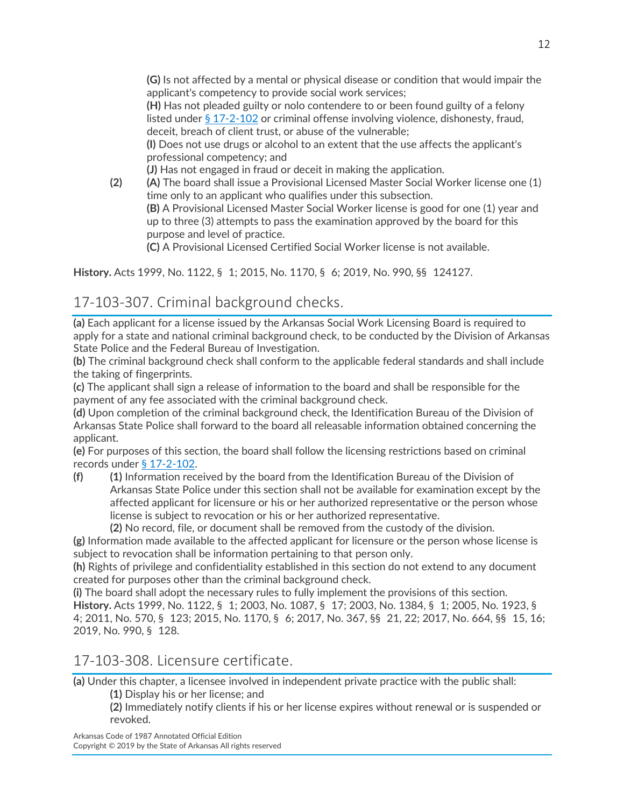**(G)** Is not affected by a mental or physical disease or condition that would impair the applicant's competency to provide social work services;

**(H)** Has not pleaded guilty or nolo contendere to or been found guilty of a felony listed under [§ 17-2-102](https://advance.lexis.com/document/documentslider/?pdmfid=1000516&crid=49333c04-c5c2-48c4-b902-8185fc3ac19f&pdistocdocslideraccess=true&config=&pddocfullpath=%2Fshared%2Fdocument%2Fstatutes-legislation%2Furn%3AcontentItem%3A5W3M-P5N0-R03K-40HN-00008-00&pdcomponentid=234171&pdtocnodeidentifier=AARAADAAZAAEAAG&ecomp=1s39k&prid=ef5b9657-24b3-40ed-85bc-b4f06e175ae2) or criminal offense involving violence, dishonesty, fraud, deceit, breach of client trust, or abuse of the vulnerable;

**(I)** Does not use drugs or alcohol to an extent that the use affects the applicant's professional competency; and

**(J)** Has not engaged in fraud or deceit in making the application.

**(2) (A)** The board shall issue a Provisional Licensed Master Social Worker license one (1) time only to an applicant who qualifies under this subsection.

**(B)** A Provisional Licensed Master Social Worker license is good for one (1) year and up to three (3) attempts to pass the examination approved by the board for this purpose and level of practice.

**(C)** A Provisional Licensed Certified Social Worker license is not available.

**History.** Acts 1999, No. 1122, § 1; 2015, No. 1170, § 6; 2019, No. 990, §§ 124127.

# 17-103-307. Criminal background checks.

**(a)** Each applicant for a license issued by the Arkansas Social Work Licensing Board is required to apply for a state and national criminal background check, to be conducted by the Division of Arkansas State Police and the Federal Bureau of Investigation.

**(b)** The criminal background check shall conform to the applicable federal standards and shall include the taking of fingerprints.

**(c)** The applicant shall sign a release of information to the board and shall be responsible for the payment of any fee associated with the criminal background check.

**(d)** Upon completion of the criminal background check, the Identification Bureau of the Division of Arkansas State Police shall forward to the board all releasable information obtained concerning the applicant.

**(e)** For purposes of this section, the board shall follow the licensing restrictions based on criminal records under [§ 17-2-102.](https://advance.lexis.com/document/documentslider/?pdmfid=1000516&crid=7785d91c-0b46-4780-b0bc-50849db8861e&pdistocdocslideraccess=true&config=&pddocfullpath=%2Fshared%2Fdocument%2Fstatutes-legislation%2Furn%3AcontentItem%3A5W3M-PS10-R03K-K0HS-00008-00&pdcomponentid=234171&pdtocnodeidentifier=AARAADAAZAAEAAH&ecomp=1s39k&prid=49333c04-c5c2-48c4-b902-8185fc3ac19f)

**(f) (1)** Information received by the board from the Identification Bureau of the Division of Arkansas State Police under this section shall not be available for examination except by the affected applicant for licensure or his or her authorized representative or the person whose license is subject to revocation or his or her authorized representative.

**(2)** No record, file, or document shall be removed from the custody of the division.

**(g)** Information made available to the affected applicant for licensure or the person whose license is subject to revocation shall be information pertaining to that person only.

**(h)** Rights of privilege and confidentiality established in this section do not extend to any document created for purposes other than the criminal background check.

**(i)** The board shall adopt the necessary rules to fully implement the provisions of this section. **History.** Acts 1999, No. 1122, § 1; 2003, No. 1087, § 17; 2003, No. 1384, § 1; 2005, No. 1923, § 4; 2011, No. 570, § 123; 2015, No. 1170, § 6; 2017, No. 367, §§ 21, 22; 2017, No. 664, §§ 15, 16; 2019, No. 990, § 128.

# 17-103-308. Licensure certificate.

**(a)** Under this chapter, a licensee involved in independent private practice with the public shall:

**(1)** Display his or her license; and

**(2)** Immediately notify clients if his or her license expires without renewal or is suspended or revoked.